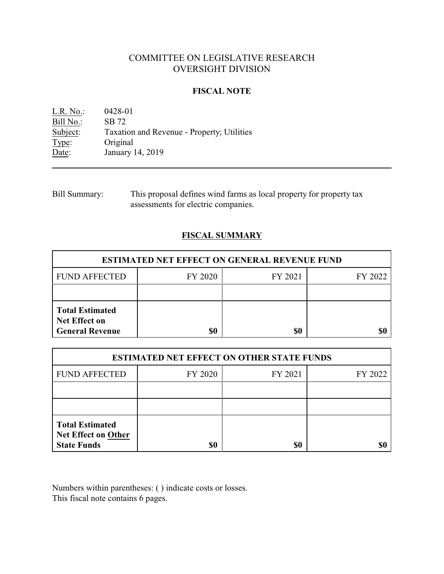# COMMITTEE ON LEGISLATIVE RESEARCH OVERSIGHT DIVISION

## **FISCAL NOTE**

L.R. No.: 0428-01 Bill No.: SB 72<br>Subject: Taxation Taxation and Revenue - Property; Utilities Type: Original Date: January 14, 2019

Bill Summary: This proposal defines wind farms as local property for property tax assessments for electric companies.

# **FISCAL SUMMARY**

| <b>ESTIMATED NET EFFECT ON GENERAL REVENUE FUND</b>                      |         |         |         |  |
|--------------------------------------------------------------------------|---------|---------|---------|--|
| <b>FUND AFFECTED</b>                                                     | FY 2020 | FY 2021 | FY 2022 |  |
|                                                                          |         |         |         |  |
| <b>Total Estimated</b><br><b>Net Effect on</b><br><b>General Revenue</b> |         | \$0     |         |  |

| <b>ESTIMATED NET EFFECT ON OTHER STATE FUNDS</b>                           |         |         |         |  |
|----------------------------------------------------------------------------|---------|---------|---------|--|
| <b>FUND AFFECTED</b>                                                       | FY 2020 | FY 2021 | FY 2022 |  |
|                                                                            |         |         |         |  |
|                                                                            |         |         |         |  |
| <b>Total Estimated</b><br><b>Net Effect on Other</b><br><b>State Funds</b> | \$0     | \$0     |         |  |

Numbers within parentheses: ( ) indicate costs or losses. This fiscal note contains 6 pages.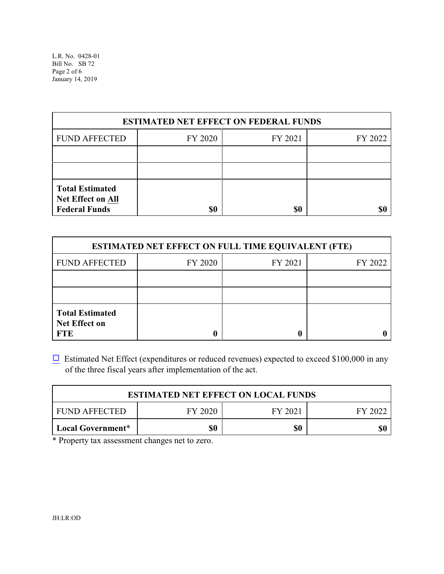| <b>ESTIMATED NET EFFECT ON FEDERAL FUNDS</b>                               |         |         |         |  |
|----------------------------------------------------------------------------|---------|---------|---------|--|
| <b>FUND AFFECTED</b>                                                       | FY 2020 | FY 2021 | FY 2022 |  |
|                                                                            |         |         |         |  |
|                                                                            |         |         |         |  |
| <b>Total Estimated</b><br><b>Net Effect on All</b><br><b>Federal Funds</b> | \$0     | \$0     |         |  |

| <b>ESTIMATED NET EFFECT ON FULL TIME EQUIVALENT (FTE)</b>    |         |         |         |  |
|--------------------------------------------------------------|---------|---------|---------|--|
| <b>FUND AFFECTED</b>                                         | FY 2020 | FY 2021 | FY 2022 |  |
|                                                              |         |         |         |  |
|                                                              |         |         |         |  |
| <b>Total Estimated</b><br><b>Net Effect on</b><br><b>FTE</b> |         |         |         |  |

 $\Box$  Estimated Net Effect (expenditures or reduced revenues) expected to exceed \$100,000 in any of the three fiscal years after implementation of the act.

| <b>ESTIMATED NET EFFECT ON LOCAL FUNDS</b> |         |         |         |  |
|--------------------------------------------|---------|---------|---------|--|
| FUND AFFECTED                              | FY 2020 | FY 2021 | EY 2022 |  |
| Local Government*                          | \$0     | \$0     | \$0     |  |

\* Property tax assessment changes net to zero.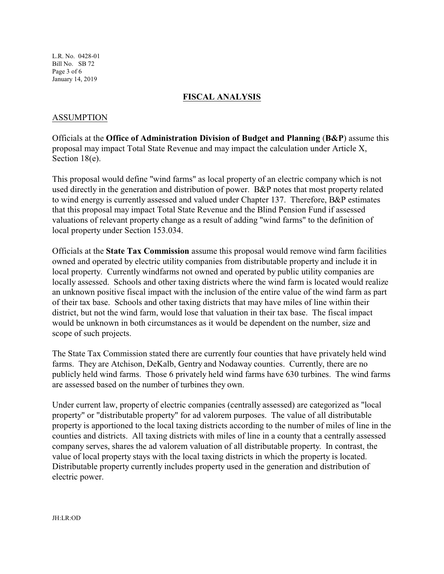L.R. No. 0428-01 Bill No. SB 72 Page 3 of 6 January 14, 2019

## **FISCAL ANALYSIS**

### ASSUMPTION

Officials at the **Office of Administration Division of Budget and Planning** (**B&P**) assume this proposal may impact Total State Revenue and may impact the calculation under Article X, Section 18(e).

This proposal would define "wind farms" as local property of an electric company which is not used directly in the generation and distribution of power. B&P notes that most property related to wind energy is currently assessed and valued under Chapter 137. Therefore, B&P estimates that this proposal may impact Total State Revenue and the Blind Pension Fund if assessed valuations of relevant property change as a result of adding "wind farms" to the definition of local property under Section 153.034.

Officials at the **State Tax Commission** assume this proposal would remove wind farm facilities owned and operated by electric utility companies from distributable property and include it in local property. Currently windfarms not owned and operated by public utility companies are locally assessed. Schools and other taxing districts where the wind farm is located would realize an unknown positive fiscal impact with the inclusion of the entire value of the wind farm as part of their tax base. Schools and other taxing districts that may have miles of line within their district, but not the wind farm, would lose that valuation in their tax base. The fiscal impact would be unknown in both circumstances as it would be dependent on the number, size and scope of such projects.

The State Tax Commission stated there are currently four counties that have privately held wind farms. They are Atchison, DeKalb, Gentry and Nodaway counties. Currently, there are no publicly held wind farms. Those 6 privately held wind farms have 630 turbines. The wind farms are assessed based on the number of turbines they own.

Under current law, property of electric companies (centrally assessed) are categorized as "local property" or "distributable property" for ad valorem purposes. The value of all distributable property is apportioned to the local taxing districts according to the number of miles of line in the counties and districts. All taxing districts with miles of line in a county that a centrally assessed company serves, shares the ad valorem valuation of all distributable property. In contrast, the value of local property stays with the local taxing districts in which the property is located. Distributable property currently includes property used in the generation and distribution of electric power.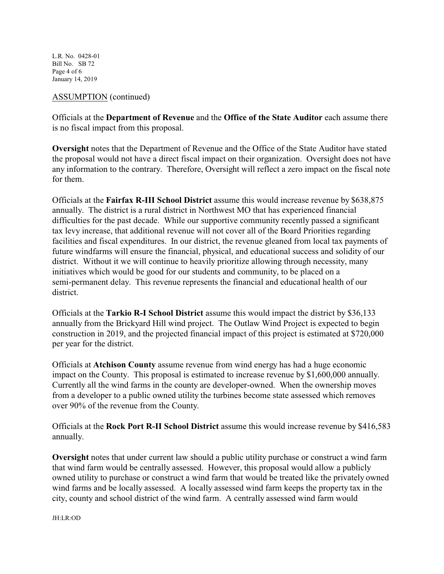L.R. No. 0428-01 Bill No. SB 72 Page 4 of 6 January 14, 2019

## ASSUMPTION (continued)

Officials at the **Department of Revenue** and the **Office of the State Auditor** each assume there is no fiscal impact from this proposal.

**Oversight** notes that the Department of Revenue and the Office of the State Auditor have stated the proposal would not have a direct fiscal impact on their organization. Oversight does not have any information to the contrary. Therefore, Oversight will reflect a zero impact on the fiscal note for them.

Officials at the **Fairfax R-III School District** assume this would increase revenue by \$638,875 annually. The district is a rural district in Northwest MO that has experienced financial difficulties for the past decade. While our supportive community recently passed a significant tax levy increase, that additional revenue will not cover all of the Board Priorities regarding facilities and fiscal expenditures. In our district, the revenue gleaned from local tax payments of future windfarms will ensure the financial, physical, and educational success and solidity of our district. Without it we will continue to heavily prioritize allowing through necessity, many initiatives which would be good for our students and community, to be placed on a semi-permanent delay. This revenue represents the financial and educational health of our district.

Officials at the **Tarkio R-I School District** assume this would impact the district by \$36,133 annually from the Brickyard Hill wind project. The Outlaw Wind Project is expected to begin construction in 2019, and the projected financial impact of this project is estimated at \$720,000 per year for the district.

Officials at **Atchison County** assume revenue from wind energy has had a huge economic impact on the County. This proposal is estimated to increase revenue by \$1,600,000 annually. Currently all the wind farms in the county are developer-owned. When the ownership moves from a developer to a public owned utility the turbines become state assessed which removes over 90% of the revenue from the County.

Officials at the **Rock Port R-II School District** assume this would increase revenue by \$416,583 annually.

**Oversight** notes that under current law should a public utility purchase or construct a wind farm that wind farm would be centrally assessed. However, this proposal would allow a publicly owned utility to purchase or construct a wind farm that would be treated like the privately owned wind farms and be locally assessed. A locally assessed wind farm keeps the property tax in the city, county and school district of the wind farm. A centrally assessed wind farm would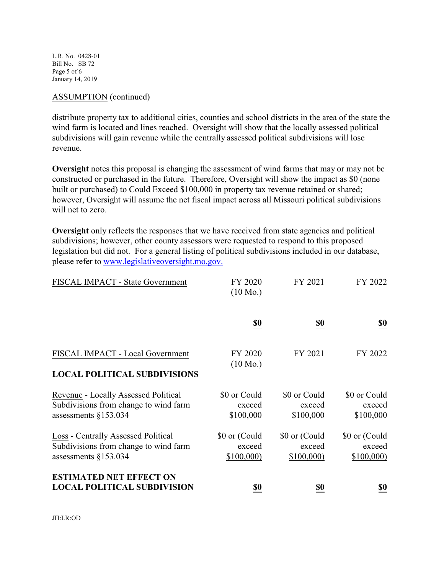L.R. No. 0428-01 Bill No. SB 72 Page 5 of 6 January 14, 2019

### ASSUMPTION (continued)

distribute property tax to additional cities, counties and school districts in the area of the state the wind farm is located and lines reached. Oversight will show that the locally assessed political subdivisions will gain revenue while the centrally assessed political subdivisions will lose revenue.

**Oversight** notes this proposal is changing the assessment of wind farms that may or may not be constructed or purchased in the future. Therefore, Oversight will show the impact as \$0 (none built or purchased) to Could Exceed \$100,000 in property tax revenue retained or shared; however, Oversight will assume the net fiscal impact across all Missouri political subdivisions will net to zero.

**Oversight** only reflects the responses that we have received from state agencies and political subdivisions; however, other county assessors were requested to respond to this proposed legislation but did not. For a general listing of political subdivisions included in our database, please refer to [www.legislativeoversight.mo.gov.](http://www.legislativeoversight.mo.gov.)

| FISCAL IMPACT - State Government                                                                        | FY 2020<br>$(10 \text{ Mo.})$        | FY 2021                              | FY 2022                              |
|---------------------------------------------------------------------------------------------------------|--------------------------------------|--------------------------------------|--------------------------------------|
|                                                                                                         | $\underline{\underline{\$0}}$        | <u>\$0</u>                           | $\underline{\underline{\$0}}$        |
| FISCAL IMPACT - Local Government<br><b>LOCAL POLITICAL SUBDIVISIONS</b>                                 | FY 2020<br>$(10 \text{ Mo.})$        | FY 2021                              | FY 2022                              |
| Revenue - Locally Assessed Political<br>Subdivisions from change to wind farm<br>assessments $§153.034$ | \$0 or Could<br>exceed<br>\$100,000  | \$0 or Could<br>exceed<br>\$100,000  | \$0 or Could<br>exceed<br>\$100,000  |
| Loss - Centrally Assessed Political<br>Subdivisions from change to wind farm<br>assessments $§153.034$  | \$0 or (Could<br>exceed<br>\$100,000 | \$0 or (Could<br>exceed<br>\$100,000 | \$0 or (Could<br>exceed<br>\$100,000 |
| <b>ESTIMATED NET EFFECT ON</b><br><b>LOCAL POLITICAL SUBDIVISION</b>                                    | <u>\$0</u>                           | <u>\$0</u>                           | <u>\$0</u>                           |